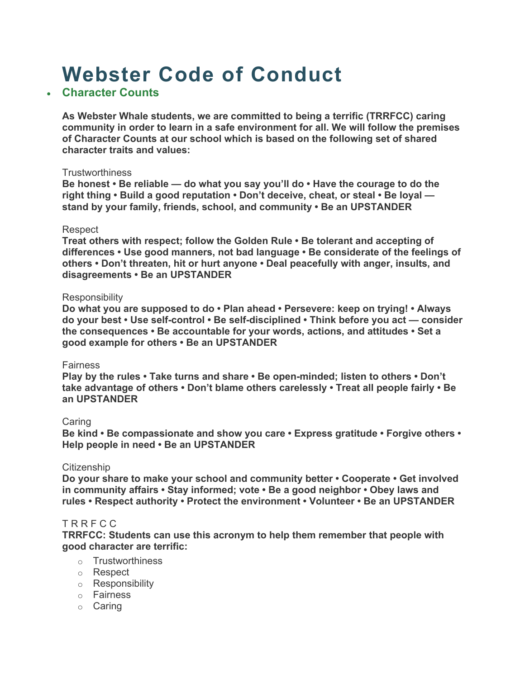# **Webster Code of Conduct**

# • **Character Counts**

 **of Character Counts at our school which is based on the following set of shared As Webster Whale students, we are committed to being a terrific (TRRFCC) caring community in order to learn in a safe environment for all. We will follow the premises character traits and values:** 

#### **Trustworthiness**

 **Be honest • Be reliable — do what you say you'll do • Have the courage to do the right thing • Build a good reputation • Don't deceive, cheat, or steal • Be loyal stand by your family, friends, school, and community • Be an UPSTANDER** 

#### Respect

 **differences • Use good manners, not bad language • Be considerate of the feelings of others • Don't threaten, hit or hurt anyone • Deal peacefully with anger, insults, and Treat others with respect; follow the Golden Rule • Be tolerant and accepting of disagreements • Be an UPSTANDER** 

#### **Responsibility**

 **do your best • Use self-control • Be self-disciplined • Think before you act — consider good example for others • Be an UPSTANDER Do what you are supposed to do • Plan ahead • Persevere: keep on trying! • Always the consequences • Be accountable for your words, actions, and attitudes • Set a** 

#### Fairness

 **Play by the rules • Take turns and share • Be open-minded; listen to others • Don't take advantage of others • Don't blame others carelessly • Treat all people fairly • Be an UPSTANDER** 

#### Caring

**Be kind • Be compassionate and show you care • Express gratitude • Forgive others • Help people in need • Be an UPSTANDER** 

#### **Citizenship**

**Do your share to make your school and community better • Cooperate • Get involved in community affairs • Stay informed; vote • Be a good neighbor • Obey laws and rules • Respect authority • Protect the environment • Volunteer • Be an UPSTANDER** 

#### T R R F C C

 **TRRFCC: Students can use this acronym to help them remember that people with good character are terrific:** 

- o Trustworthiness
- o Respect
- o Responsibility
- o Fairness
- o Caring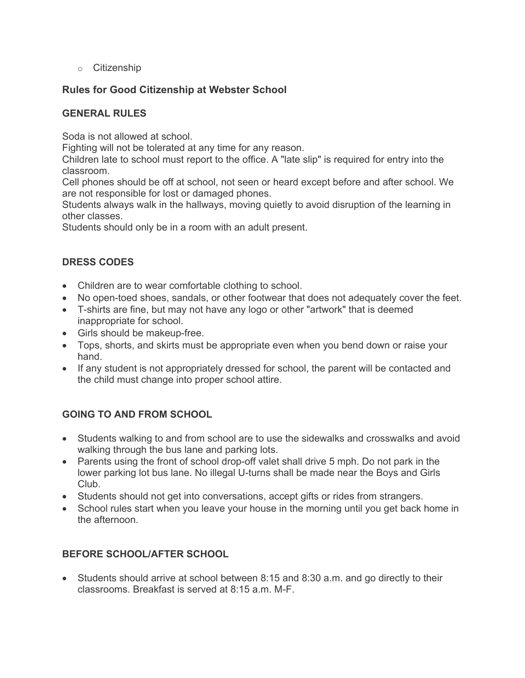o Citizenship

# **Rules for Good Citizenship at Webster School**

## **GENERAL RULES**

Soda is not allowed at school.

Fighting will not be tolerated at any time for any reason.

Children late to school must report to the office. A "late slip" is required for entry into the classroom.

 Cell phones should be off at school, not seen or heard except before and after school. We are not responsible for lost or damaged phones.

Students always walk in the hallways, moving quietly to avoid disruption of the learning in other classes.

Students should only be in a room with an adult present.

## **DRESS CODES**

- Children are to wear comfortable clothing to school.
- No open-toed shoes, sandals, or other footwear that does not adequately cover the feet.
- T-shirts are fine, but may not have any logo or other "artwork" that is deemed inappropriate for school.
- Girls should be makeup-free.
- • Tops, shorts, and skirts must be appropriate even when you bend down or raise your hand.
- If any student is not appropriately dressed for school, the parent will be contacted and the child must change into proper school attire.

# **GOING TO AND FROM SCHOOL**

- Students walking to and from school are to use the sidewalks and crosswalks and avoid walking through the bus lane and parking lots.
- • Parents using the front of school drop-off valet shall drive 5 mph. Do not park in the lower parking lot bus lane. No illegal U-turns shall be made near the Boys and Girls Club.
- Students should not get into conversations, accept gifts or rides from strangers.
- • School rules start when you leave your house in the morning until you get back home in the afternoon.

## **BEFORE SCHOOL/AFTER SCHOOL**

 • Students should arrive at school between 8:15 and 8:30 a.m. and go directly to their classrooms. Breakfast is served at 8:15 a.m. M-F.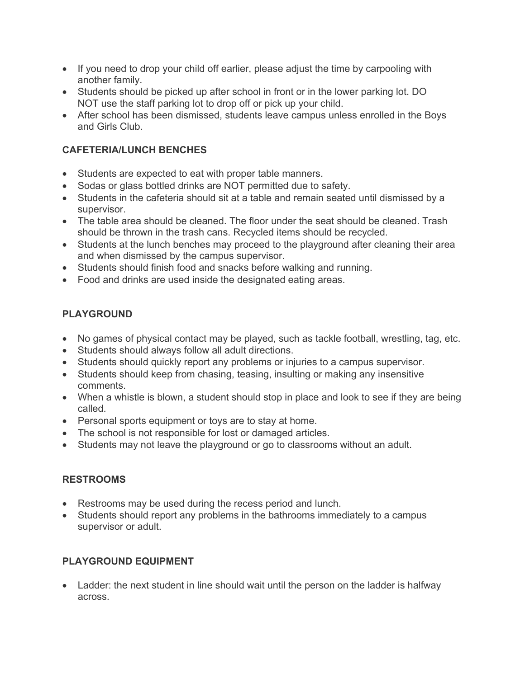- If you need to drop your child off earlier, please adjust the time by carpooling with another family.
- • Students should be picked up after school in front or in the lower parking lot. DO NOT use the staff parking lot to drop off or pick up your child.
- • After school has been dismissed, students leave campus unless enrolled in the Boys and Girls Club.

# **CAFETERIA/LUNCH BENCHES**

- Students are expected to eat with proper table manners.
- Sodas or glass bottled drinks are NOT permitted due to safety.
- • Students in the cafeteria should sit at a table and remain seated until dismissed by a supervisor.
- • The table area should be cleaned. The floor under the seat should be cleaned. Trash should be thrown in the trash cans. Recycled items should be recycled.
- Students at the lunch benches may proceed to the playground after cleaning their area and when dismissed by the campus supervisor.
- Students should finish food and snacks before walking and running.
- Food and drinks are used inside the designated eating areas.

# **PLAYGROUND**

- No games of physical contact may be played, such as tackle football, wrestling, tag, etc.
- Students should always follow all adult directions.
- Students should quickly report any problems or injuries to a campus supervisor.
- • Students should keep from chasing, teasing, insulting or making any insensitive comments.
- When a whistle is blown, a student should stop in place and look to see if they are being called.
- Personal sports equipment or toys are to stay at home.
- The school is not responsible for lost or damaged articles.
- Students may not leave the playground or go to classrooms without an adult.

## **RESTROOMS**

- Restrooms may be used during the recess period and lunch.
- Students should report any problems in the bathrooms immediately to a campus supervisor or adult.

## **PLAYGROUND EQUIPMENT**

• Ladder: the next student in line should wait until the person on the ladder is halfway across.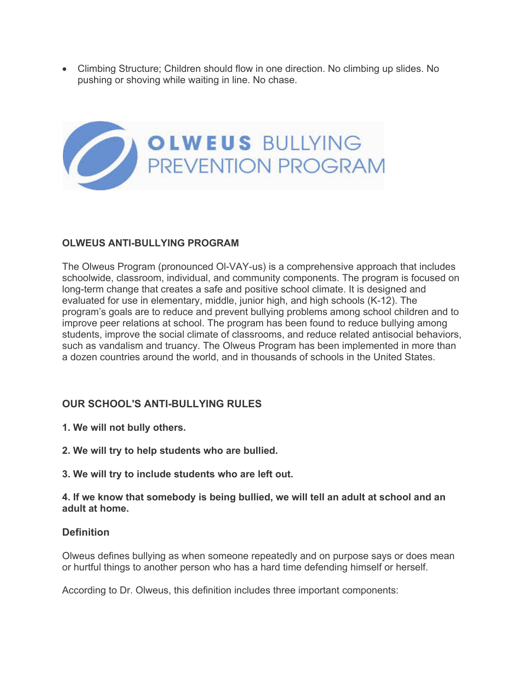pushing or shoving while waiting in line. No chase. • Climbing Structure; Children should flow in one direction. No climbing up slides. No



## **OLWEUS ANTI-BULLYING PROGRAM**

 such as vandalism and truancy. The Olweus Program has been implemented in more than The Olweus Program (pronounced Ol-VAY-us) is a comprehensive approach that includes schoolwide, classroom, individual, and community components. The program is focused on long-term change that creates a safe and positive school climate. It is designed and evaluated for use in elementary, middle, junior high, and high schools (K-12). The program's goals are to reduce and prevent bullying problems among school children and to improve peer relations at school. The program has been found to reduce bullying among students, improve the social climate of classrooms, and reduce related antisocial behaviors, a dozen countries around the world, and in thousands of schools in the United States.

# **OUR SCHOOL'S ANTI-BULLYING RULES**

- **1. We will not bully others.**
- **2. We will try to help students who are bullied.**
- **3. We will try to include students who are left out.**

**4. If we know that somebody is being bullied, we will tell an adult at school and an adult at home.** 

## **Definition**

 Olweus defines bullying as when someone repeatedly and on purpose says or does mean or hurtful things to another person who has a hard time defending himself or herself.

According to Dr. Olweus, this definition includes three important components: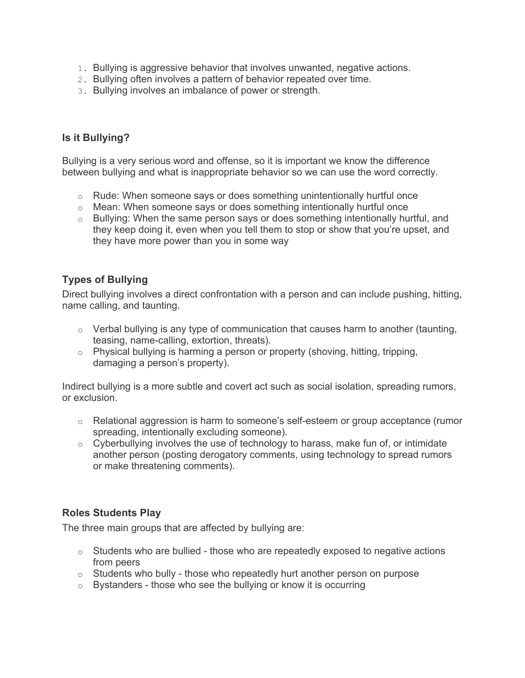- 1. Bullying is aggressive behavior that involves unwanted, negative actions.
- 2. Bullying often involves a pattern of behavior repeated over time.
- 3. Bullying involves an imbalance of power or strength.

# **Is it Bullying?**

 Bullying is a very serious word and offense, so it is important we know the difference between bullying and what is inappropriate behavior so we can use the word correctly.

- $\circ$  Rude: When someone says or does something unintentionally hurtful once
- $\circ$  Mean: When someone says or does something intentionally hurtful once
- o Bullying: When the same person says or does something intentionally hurtful, and they keep doing it, even when you tell them to stop or show that you're upset, and they have more power than you in some way

# **Types of Bullying**

Direct bullying involves a direct confrontation with a person and can include pushing, hitting, name calling, and taunting.

- $\circ$  Verbal bullying is any type of communication that causes harm to another (taunting, teasing, name-calling, extortion, threats).
- $\circ$  Physical bullying is harming a person or property (shoving, hitting, tripping, damaging a person's property).

Indirect bullying is a more subtle and covert act such as social isolation, spreading rumors, or exclusion.

- $\circ$  Relational aggression is harm to someone's self-esteem or group acceptance (rumor spreading, intentionally excluding someone).
- o Cyberbullying involves the use of technology to harass, make fun of, or intimidate another person (posting derogatory comments, using technology to spread rumors or make threatening comments).

## **Roles Students Play**

The three main groups that are affected by bullying are:

- o Students who are bullied those who are repeatedly exposed to negative actions from peers
- $\circ$  Students who bully those who repeatedly hurt another person on purpose
- o Bystanders those who see the bullying or know it is occurring